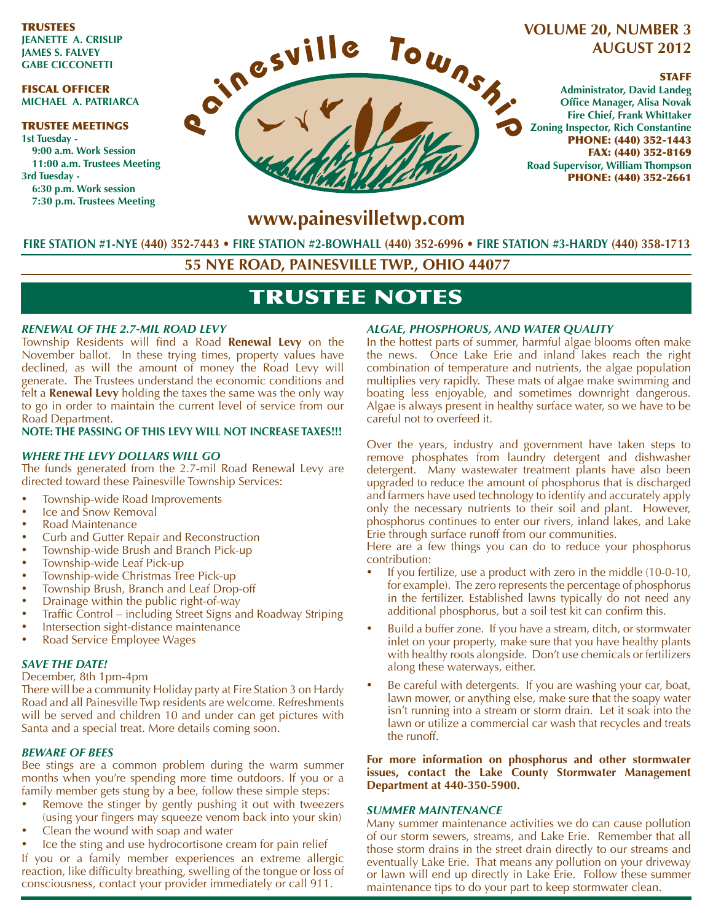TRUSTEES **JEANETTE A. CRISLIP JAMES S. FALVEY GABE CICCONETTI**

#### FISCAL OFFICER **MICHAEL A. PATRIARCA**

#### TRUSTEE MEETINGS **1st Tuesday - 9:00 a.m. Work Session 11:00 a.m. Trustees Meeting 3rd Tuesday - 6:30 p.m. Work session**

**7:30 p.m. Trustees Meeting**



# **VOLUME 20, NUMBER 3 AUGUST 2012**

### STAFF

**Administrator, David Landeg Office Manager, Alisa Novak Fire Chief, Frank Whittaker Zoning Inspector, Rich Constantine** PHONE: (440) 352-1443 FAX: (440) 352-8169 **Road Supervisor, William Thompson** PHONE: (440) 352-2661

# **www.painesvilletwp.com**

**FIRE STATION #1-NYE (440) 352-7443** • **FIRE STATION #2-BOWHALL (440) 352-6996 • FIRE STATION #3-HARDY (440) 358-1713**

**55 NYE ROAD, PAINESVILLE TWP., OHIO 44077**

# TRUSTEE NOTES

## *RENEWAL OF THE 2.7-MIL ROAD LEVY*

Township Residents will find a Road **Renewal Levy** on the November ballot. In these trying times, property values have declined, as will the amount of money the Road Levy will generate. The Trustees understand the economic conditions and felt a **Renewal Levy** holding the taxes the same was the only way to go in order to maintain the current level of service from our Road Department.

### **NOTE: THE PASSING OF THIS LEVY WILL NOT INCREASE TAXES!!!**

## *WHERE THE LEVY DOLLARS WILL GO*

The funds generated from the 2.7-mil Road Renewal Levy are directed toward these Painesville Township Services:

- Township-wide Road Improvements
- Ice and Snow Removal
- Road Maintenance
- Curb and Gutter Repair and Reconstruction
- Township-wide Brush and Branch Pick-up
- Township-wide Leaf Pick-up
- Township-wide Christmas Tree Pick-up
- Township Brush, Branch and Leaf Drop-off
- Drainage within the public right-of-way
- Traffic Control including Street Signs and Roadway Striping
- Intersection sight-distance maintenance
- Road Service Employee Wages

### *SAVE THE DATE!*

December, 8th 1pm-4pm

There will be a community Holiday party at Fire Station 3 on Hardy Road and all Painesville Twp residents are welcome. Refreshments will be served and children 10 and under can get pictures with Santa and a special treat. More details coming soon.

### *BEWARE OF BEES*

Bee stings are a common problem during the warm summer months when you're spending more time outdoors. If you or a family member gets stung by a bee, follow these simple steps:

- Remove the stinger by gently pushing it out with tweezers (using your fingers may squeeze venom back into your skin)
- Clean the wound with soap and water
- Ice the sting and use hydrocortisone cream for pain relief

If you or a family member experiences an extreme allergic reaction, like difficulty breathing, swelling of the tongue or loss of consciousness, contact your provider immediately or call 911.

# *ALGAE, PHOSPHORUS, AND WATER QUALITY*

In the hottest parts of summer, harmful algae blooms often make the news. Once Lake Erie and inland lakes reach the right combination of temperature and nutrients, the algae population multiplies very rapidly. These mats of algae make swimming and boating less enjoyable, and sometimes downright dangerous. Algae is always present in healthy surface water, so we have to be careful not to overfeed it.

Over the years, industry and government have taken steps to remove phosphates from laundry detergent and dishwasher detergent. Many wastewater treatment plants have also been upgraded to reduce the amount of phosphorus that is discharged and farmers have used technology to identify and accurately apply only the necessary nutrients to their soil and plant. However, phosphorus continues to enter our rivers, inland lakes, and Lake Erie through surface runoff from our communities.

Here are a few things you can do to reduce your phosphorus contribution:

- If you fertilize, use a product with zero in the middle (10-0-10, for example). The zero represents the percentage of phosphorus in the fertilizer. Established lawns typically do not need any additional phosphorus, but a soil test kit can confirm this.
- Build a buffer zone. If you have a stream, ditch, or stormwater inlet on your property, make sure that you have healthy plants with healthy roots alongside. Don't use chemicals or fertilizers along these waterways, either.
- Be careful with detergents. If you are washing your car, boat, lawn mower, or anything else, make sure that the soapy water isn't running into a stream or storm drain. Let it soak into the lawn or utilize a commercial car wash that recycles and treats the runoff.

**For more information on phosphorus and other stormwater issues, contact the Lake County Stormwater Management Department at 440-350-5900.**

#### *SUMMER MAINTENANCE*

Many summer maintenance activities we do can cause pollution of our storm sewers, streams, and Lake Erie. Remember that all those storm drains in the street drain directly to our streams and eventually Lake Erie. That means any pollution on your driveway or lawn will end up directly in Lake Erie. Follow these summer maintenance tips to do your part to keep stormwater clean.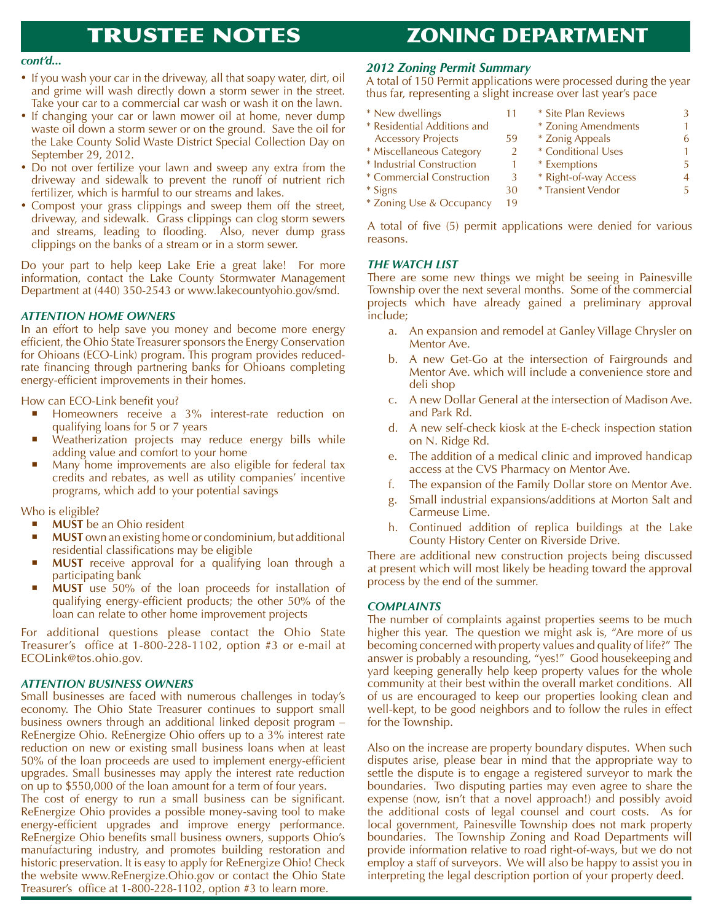# TRUSTEE NOTES

# ZONING DEPARTMENT

- If you wash your car in the driveway, all that soapy water, dirt, oil and grime will wash directly down a storm sewer in the street. Take your car to a commercial car wash or wash it on the lawn.
- If changing your car or lawn mower oil at home, never dump waste oil down a storm sewer or on the ground. Save the oil for the Lake County Solid Waste District Special Collection Day on September 29, 2012.
- Do not over fertilize your lawn and sweep any extra from the driveway and sidewalk to prevent the runoff of nutrient rich fertilizer, which is harmful to our streams and lakes.
- Compost your grass clippings and sweep them off the street, driveway, and sidewalk. Grass clippings can clog storm sewers and streams, leading to flooding. Also, never dump grass clippings on the banks of a stream or in a storm sewer.

Do your part to help keep Lake Erie a great lake! For more information, contact the Lake County Stormwater Management Department at (440) 350-2543 or www.lakecountyohio.gov/smd.

### *ATTENTION HOME OWNERS*

In an effort to help save you money and become more energy efficient, the Ohio State Treasurer sponsors the Energy Conservation for Ohioans (ECO-Link) program. This program provides reducedrate financing through partnering banks for Ohioans completing energy-efficient improvements in their homes.

How can ECO-Link benefit you?

- **•** Homeowners receive a 3% interest-rate reduction on qualifying loans for 5 or 7 years
- Weatherization projects may reduce energy bills while adding value and comfort to your home
- Many home improvements are also eligible for federal tax credits and rebates, as well as utility companies' incentive programs, which add to your potential savings

Who is eligible?

- **NUST** be an Ohio resident
- **MUST** own an existing home or condominium, but additional residential classifications may be eligible
- **MUST** receive approval for a qualifying loan through a participating bank
- **MUST** use 50% of the loan proceeds for installation of qualifying energy-efficient products; the other 50% of the loan can relate to other home improvement projects

For additional questions please contact the Ohio State Treasurer's office at 1-800-228-1102, option #3 or e-mail at ECOLink@tos.ohio.gov.

#### *ATTENTION BUSINESS OWNERS*

Small businesses are faced with numerous challenges in today's economy. The Ohio State Treasurer continues to support small business owners through an additional linked deposit program – ReEnergize Ohio. ReEnergize Ohio offers up to a 3% interest rate reduction on new or existing small business loans when at least 50% of the loan proceeds are used to implement energy-efficient upgrades. Small businesses may apply the interest rate reduction on up to \$550,000 of the loan amount for a term of four years.

The cost of energy to run a small business can be significant. ReEnergize Ohio provides a possible money-saving tool to make energy-efficient upgrades and improve energy performance. ReEnergize Ohio benefits small business owners, supports Ohio's manufacturing industry, and promotes building restoration and historic preservation. It is easy to apply for ReEnergize Ohio! Check the website www.ReEnergize.Ohio.gov or contact the Ohio State Treasurer's office at 1-800-228-1102, option #3 to learn more.

# *cont'd... 2012 Zoning Permit Summary*

A total of 150 Permit applications were processed during the year thus far, representing a slight increase over last year's pace

- \* New dwellings 11
- \* Residential Additions and
- Accessory Projects 59
- \* Miscellaneous Category 2
- \* Industrial Construction 1
- \* Commercial Construction 3
- $*$  Signs  $30$
- \* Zoning Use & Occupancy 19
- \* Zonig Appeals 6 \* Conditional Uses 1 \* Exemptions 5 \* Right-of-way Access 4 \* Transient Vendor 5

\* Site Plan Reviews 3 \* Zoning Amendments 1

A total of five (5) permit applications were denied for various reasons.

#### *THE WATCH LIST*

There are some new things we might be seeing in Painesville Township over the next several months. Some of the commercial projects which have already gained a preliminary approval include;

- a. An expansion and remodel at Ganley Village Chrysler on Mentor Ave.
- b. A new Get-Go at the intersection of Fairgrounds and Mentor Ave. which will include a convenience store and deli shop
- c. A new Dollar General at the intersection of Madison Ave. and Park Rd.
- d. A new self-check kiosk at the E-check inspection station on N. Ridge Rd.
- e. The addition of a medical clinic and improved handicap access at the CVS Pharmacy on Mentor Ave.
- f. The expansion of the Family Dollar store on Mentor Ave.
- g. Small industrial expansions/additions at Morton Salt and Carmeuse Lime.
- h. Continued addition of replica buildings at the Lake County History Center on Riverside Drive.

There are additional new construction projects being discussed at present which will most likely be heading toward the approval process by the end of the summer.

#### *COMPLAINTS*

The number of complaints against properties seems to be much higher this year. The question we might ask is, "Are more of us becoming concerned with property values and quality of life?" The answer is probably a resounding, "yes!" Good housekeeping and yard keeping generally help keep property values for the whole community at their best within the overall market conditions. All of us are encouraged to keep our properties looking clean and well-kept, to be good neighbors and to follow the rules in effect for the Township.

Also on the increase are property boundary disputes. When such disputes arise, please bear in mind that the appropriate way to settle the dispute is to engage a registered surveyor to mark the boundaries. Two disputing parties may even agree to share the expense (now, isn't that a novel approach!) and possibly avoid the additional costs of legal counsel and court costs. As for local government, Painesville Township does not mark property boundaries. The Township Zoning and Road Departments will provide information relative to road right-of-ways, but we do not employ a staff of surveyors. We will also be happy to assist you in interpreting the legal description portion of your property deed.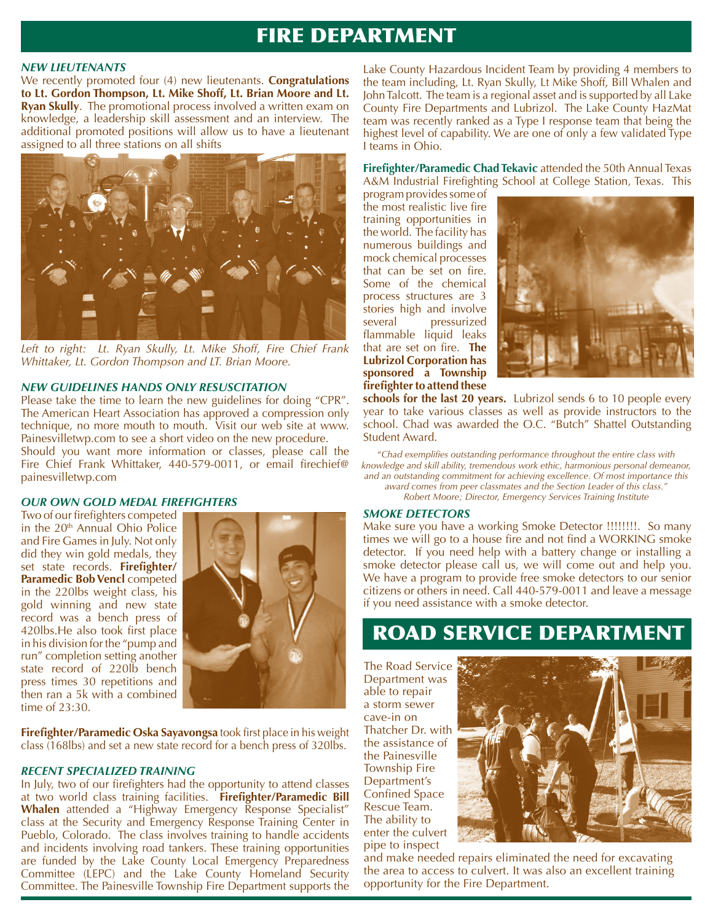# FIRE DEPARTMENT

#### *NEW LIEUTENANTS*

We recently promoted four (4) new lieutenants. **Congratulations to Lt. Gordon Thompson, Lt. Mike Shoff, Lt. Brian Moore and Lt. Ryan Skully**. The promotional process involved a written exam on knowledge, a leadership skill assessment and an interview. The additional promoted positions will allow us to have a lieutenant assigned to all three stations on all shifts



*Left to right: Lt. Ryan Skully, Lt. Mike Shoff, Fire Chief Frank Whittaker, Lt. Gordon Thompson and LT. Brian Moore.*

#### *NEW GUIDELINES HANDS ONLY RESUSCITATION*

Please take the time to learn the new guidelines for doing "CPR". The American Heart Association has approved a compression only technique, no more mouth to mouth. Visit our web site at www. Painesvilletwp.com to see a short video on the new procedure. Should you want more information or classes, please call the Fire Chief Frank Whittaker, 440-579-0011, or email firechief@ painesvilletwp.com

#### *OUR OWN GOLD MEDAL FIREFIGHTERS*

Two of our firefighters competed in the 20<sup>th</sup> Annual Ohio Police and Fire Games in July. Not only did they win gold medals, they set state records. **Firefighter/ Paramedic Bob Vencl competed** in the 220lbs weight class, his gold winning and new state record was a bench press of 420lbs.He also took first place in his division for the "pump and run" completion setting another state record of 220lb bench press times 30 repetitions and then ran a 5k with a combined time of  $23:30$ .



**Firefighter/Paramedic Oska Sayavongsa** took first place in his weight class (168lbs) and set a new state record for a bench press of 320lbs.

#### *RECENT SPECIALIZED TRAINING*

In July, two of our firefighters had the opportunity to attend classes at two world class training facilities. **Firefighter/Paramedic Bill Whalen** attended a "Highway Emergency Response Specialist" class at the Security and Emergency Response Training Center in Pueblo, Colorado. The class involves training to handle accidents and incidents involving road tankers. These training opportunities are funded by the Lake County Local Emergency Preparedness Committee (LEPC) and the Lake County Homeland Security Committee. The Painesville Township Fire Department supports the

Lake County Hazardous Incident Team by providing 4 members to the team including, Lt. Ryan Skully, Lt Mike Shoff, Bill Whalen and John Talcott. The team is a regional asset and is supported by all Lake County Fire Departments and Lubrizol. The Lake County HazMat team was recently ranked as a Type I response team that being the highest level of capability. We are one of only a few validated Type I teams in Ohio.

**Firefighter/Paramedic Chad Tekavic** attended the 50th Annual Texas A&M Industrial Firefighting School at College Station, Texas. This

program provides some of the most realistic live fire training opportunities in the world. The facility has numerous buildings and mock chemical processes that can be set on fire. Some of the chemical process structures are 3 stories high and involve several pressurized flammable liquid leaks that are set on fire. **The Lubrizol Corporation has sponsored a Township firefighter to attend these** 



**schools for the last 20 years.** Lubrizol sends 6 to 10 people every year to take various classes as well as provide instructors to the school. Chad was awarded the O.C. "Butch" Shattel Outstanding Student Award.

"*Chad exemplifies outstanding performance throughout the entire class with knowledge and skill ability, tremendous work ethic, harmonious personal demeanor, and an outstanding commitment for achieving excellence. Of most importance this award comes from peer classmates and the Section Leader of this class."*

## *Robert Moore; Director, Emergency Services Training Institute*

#### *SMOKE DETECTORS*

Make sure you have a working Smoke Detector !!!!!!!!. So many times we will go to a house fire and not find a WORKING smoke detector. If you need help with a battery change or installing a smoke detector please call us, we will come out and help you. We have a program to provide free smoke detectors to our senior citizens or others in need. Call 440-579-0011 and leave a message if you need assistance with a smoke detector.

# ROAD SERVICE DEPARTMENT

The Road Service Department was able to repair a storm sewer cave-in on Thatcher Dr. with the assistance of the Painesville Township Fire Department's Confined Space Rescue Team. The ability to enter the culvert pipe to inspect



and make needed repairs eliminated the need for excavating the area to access to culvert. It was also an excellent training opportunity for the Fire Department.